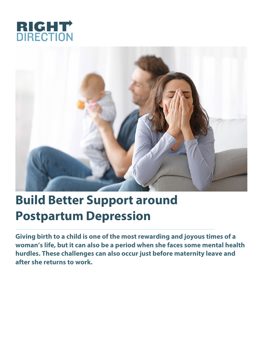



## **Build Better Support around Postpartum Depression**

**Giving birth to a child is one of the most rewarding and joyous times of a woman's life, but it can also be a period when she faces some mental health hurdles. These challenges can also occur just before maternity leave and after she returns to work.**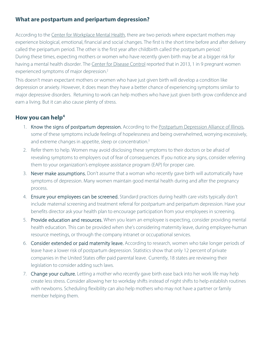## **What are postpartum and peripartum depression?**

According to the Center for [Workplace](http://workplacementalhealth.org/Mental-Health-Topics/Postpartum-Depression-and-Anxiety) Mental Health, there are two periods where expectant mothers may experience biological, emotional, financial and social changes. The first is the short time before and after delivery called the peripartum period. The other is the first year after childbirth called the postpartum period.<sup>1</sup> During these times, expecting mothers or women who have recently given birth may be at a bigger risk for having a mental health disorder. The Center for [Disease](https://www.cdc.gov/chronicdisease/resources/publications/aag/maternal.htm) Control reported that in 2013, 1 in 9 pregnant women experienced symptoms of major depression.<sup>2</sup>

This doesn't mean expectant mothers or women who have just given birth will develop a condition like depression or anxiety. However, it does mean they have a better chance of experiencing symptoms similar to major depressive disorders. Returning to work can help mothers who have just given birth grow confidence and earn a living. But it can also cause plenty of stress.

## **How you can help4**

- 1. Know the signs of postpartum depression. According to the [Postpartum](http://www.ppdil.org/symptoms-of-ppmds/) Depression Alliance of Illinois, some of these symptoms include feelings of hopelessness and being overwhelmed, worrying excessively, and extreme changes in appetite, sleep or concentration.<sup>3</sup>
- 2. Refer them to help. Women may avoid disclosing these symptoms to their doctors or be afraid of revealing symptoms to employers out of fear of consequences. If you notice any signs, consider referring them to your organization's employee assistance program (EAP) for proper care.
- 3. Never make assumptions. Don't assume that a woman who recently gave birth will automatically have symptoms of depression. Many women maintain good mental health during and after the pregnancy process.
- 4. Ensure your employees can be screened. Standard practices during health care visits typically don't include maternal screening and treatment referral for postpartum and peripartum depression. Have your benefits director ask your health plan to encourage participation from your employees in screening.
- 5. Provide education and resources. When you learn an employee is expecting, consider providing mental health education. This can be provided when she's considering maternity leave, during employee-human resource meetings, or through the company intranet or occupational services.
- 6. Consider extended or paid maternity leave. According to research, women who take longer periods of leave have a lower risk of postpartum depression. Statistics show that only 12 percent of private companies in the United States offer paid parental leave. Currently, 18 states are reviewing their legislation to consider adding such laws.
- 7. Change your culture. Letting a mother who recently gave birth ease back into her work life may help create less stress. Consider allowing her to workday shifts instead of night shifts to help establish routines with newborns. Scheduling flexibility can also help mothers who may not have a partner or family member helping them.